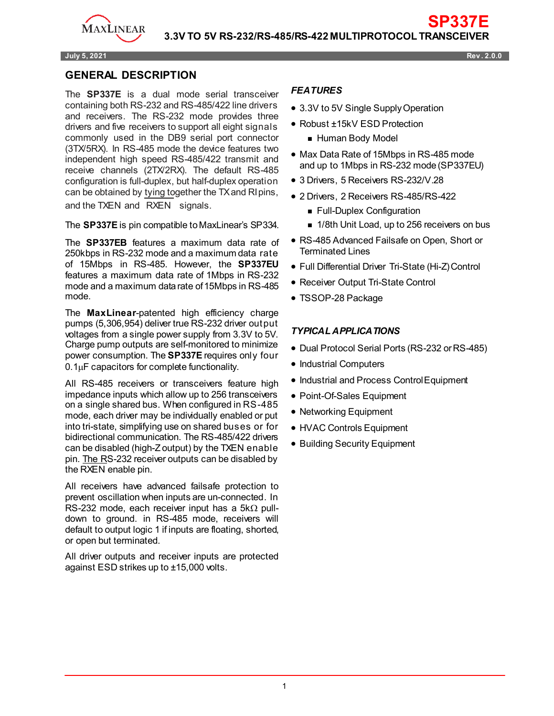

#### **July 5, 2021 Rev . 2.0.0**

### **GENERAL DESCRIPTION**

The **SP337E** is a dual mode serial transceiver containing both RS-232 and RS-485/422 line drivers and receivers. The RS-232 mode provides three drivers and five receivers to support all eight signals commonly used in the DB9 serial port connector (3TX/5RX). In RS-485 mode the device features two independent high speed RS-485/422 transmit and receive channels (2TX/2RX). The default RS-485 configuration is full-duplex, but half-duplex operation can be obtained by tying together the TX and RIpins, and the TXEN and RXEN signals.

The **SP337E** is pin compatible to MaxLinear's SP334.

The **SP337EB** features a maximum data rate of 250kbps in RS-232 mode and a maximum data rate of 15Mbps in RS-485. However, the **SP337EU**  features a maximum data rate of 1Mbps in RS-232 mode and a maximum data rate of 15Mbps in RS-485 mode.

The **MaxLinear**-patented high efficiency charge pumps (5,306,954) deliver true RS-232 driver output voltages from a single power supply from 3.3V to 5V. Charge pump outputs are self-monitored to minimize power consumption. The **SP337E** requires only four 0.1µF capacitors for complete functionality.

All RS-485 receivers or transceivers feature high impedance inputs which allow up to 256 transceivers on a single shared bus. When configured in RS-485 mode, each driver may be individually enabled or put into tri-state, simplifying use on shared buses or for bidirectional communication. The RS-485/422 drivers can be disabled (high-Z output) by the TXEN enable pin. The RS-232 receiver outputs can be disabled by the RXEN enable pin.

All receivers have advanced failsafe protection to prevent oscillation when inputs are un-connected. In RS-232 mode, each receiver input has a  $5k\Omega$  pulldown to ground. in RS-485 mode, receivers will default to output logic 1 if inputs are floating, shorted, or open but terminated.

All driver outputs and receiver inputs are protected against ESD strikes up to ±15,000 volts.

#### *FEATURES*

- 3.3V to 5V Single Supply Operation
- Robust ±15kV ESD Protection
	- **Human Body Model**
- Max Data Rate of 15Mbps in RS-485 mode and up to 1Mbps in RS-232 mode(SP337EU)

**SP337E**

- 3 Drivers, 5 Receivers RS-232/V.28
- 2 Drivers, 2 Receivers RS-485/RS-422
	- **Full-Duplex Configuration**
	- 1/8th Unit Load, up to 256 receivers on bus
- RS-485 Advanced Failsafe on Open, Short or Terminated Lines
- Full Differential Driver Tri-State (Hi-Z) Control
- Receiver Output Tri-State Control
- TSSOP-28 Package

#### *TYPICAL APPLICATIONS*

- Dual Protocol Serial Ports (RS-232 or RS-485)
- Industrial Computers
- Industrial and Process ControlEquipment
- Point-Of-Sales Equipment
- Networking Equipment
- HVAC Controls Equipment
- Building Security Equipment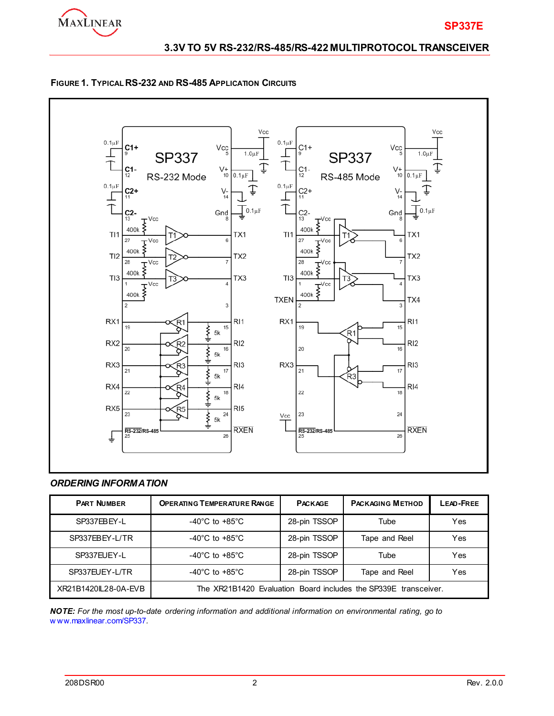





### *ORDERING INFORMATION*

| <b>PART NUMBER</b>  | <b>OPERATING TEMPERATURE RANGE</b>                              | <b>PACKAGE</b> | <b>PACKAGING METHOD</b> | LEAD-FREE |  |
|---------------------|-----------------------------------------------------------------|----------------|-------------------------|-----------|--|
| SP337EBEY-L         | $-40^{\circ}$ C to $+85^{\circ}$ C                              | 28-pin TSSOP   | Tube                    | Yes       |  |
| SP337EBEY-L/TR      | -40 $^{\circ}$ C to +85 $^{\circ}$ C                            | 28-pin TSSOP   | Tape and Reel           | Yes       |  |
| SP337EUEY-L         | -40 $^{\circ}$ C to +85 $^{\circ}$ C                            | 28-pin TSSOP   | Tube                    | Yes       |  |
| SP337EUEY-L/TR      | -40 $^{\circ}$ C to +85 $^{\circ}$ C                            | 28-pin TSSOP   | Tape and Reel           | Yes       |  |
| XR21B1420L28-0A-EVB | The XR21B1420 Evaluation Board includes the SP339E transceiver. |                |                         |           |  |

*NOTE: For the most up-to-date ordering information and additional information on environmental rating, go to*  w ww.maxlinear.com/SP337*.*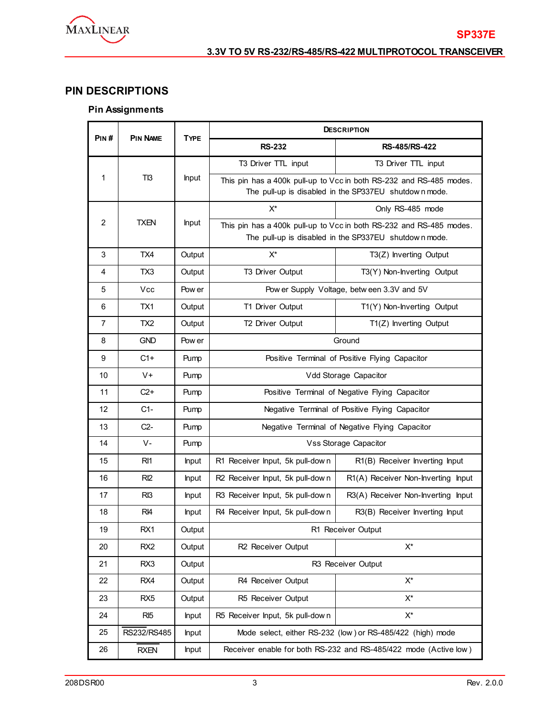

# **PIN DESCRIPTIONS**

# **Pin Assignments**

| PIN#           | <b>PIN NAME</b> | <b>TYPE</b>  | <b>DESCRIPTION</b>                             |                                                                                                                              |  |  |  |
|----------------|-----------------|--------------|------------------------------------------------|------------------------------------------------------------------------------------------------------------------------------|--|--|--|
|                |                 |              | <b>RS-232</b>                                  | RS-485/RS-422                                                                                                                |  |  |  |
|                |                 |              | T3 Driver TTL input                            | T3 Driver TTL input                                                                                                          |  |  |  |
| 1              | T <sub>13</sub> | <b>Input</b> |                                                | This pin has a 400k pull-up to Vcc in both RS-232 and RS-485 modes.<br>The pull-up is disabled in the SP337EU shutdown mode. |  |  |  |
|                |                 |              | X*                                             | Only RS-485 mode                                                                                                             |  |  |  |
| $\overline{2}$ | <b>TXEN</b>     | <b>Input</b> |                                                | This pin has a 400k pull-up to Vcc in both RS-232 and RS-485 modes.<br>The pull-up is disabled in the SP337EU shutdown mode. |  |  |  |
| 3              | TX4             | Output       | $\mathsf{X}^\star$                             | $T3(Z)$ Inverting Output                                                                                                     |  |  |  |
| 4              | TX3             | Output       | T3 Driver Output                               | T3(Y) Non-Inverting Output                                                                                                   |  |  |  |
| 5              | Vcc             | Pow er       |                                                | Pow er Supply Voltage, betw een 3.3V and 5V                                                                                  |  |  |  |
| 6              | TX1             | Output       | T1 Driver Output                               | T1(Y) Non-Inverting Output                                                                                                   |  |  |  |
| 7              | TX2             | Output       | T2 Driver Output                               | T1(Z) Inverting Output                                                                                                       |  |  |  |
| 8              | <b>GND</b>      | Pow er       | Ground                                         |                                                                                                                              |  |  |  |
| 9              | $C1+$           | Pump         | Positive Terminal of Positive Flying Capacitor |                                                                                                                              |  |  |  |
| 10             | $V +$           | Pump         | Vdd Storage Capacitor                          |                                                                                                                              |  |  |  |
| 11             | $C2+$           | Pump         | Positive Terminal of Negative Flying Capacitor |                                                                                                                              |  |  |  |
| 12             | $C1-$           | Pump         | Negative Terminal of Positive Flying Capacitor |                                                                                                                              |  |  |  |
| 13             | $C2-$           | Pump         |                                                | Negative Terminal of Negative Flying Capacitor                                                                               |  |  |  |
| 14             | $V -$           | Pump         |                                                | <b>Vss Storage Capacitor</b>                                                                                                 |  |  |  |
| 15             | RI <sub>1</sub> | <b>Input</b> | R1 Receiver Input, 5k pull-down                | R1(B) Receiver Inverting Input                                                                                               |  |  |  |
| 16             | R12             | <b>Input</b> | R2 Receiver Input, 5k pull-down                | R1(A) Receiver Non-Inverting Input                                                                                           |  |  |  |
| 17             | R <sub>13</sub> | <b>Input</b> | R3 Receiver Input, 5k pull-down                | R3(A) Receiver Non-Inverting Input                                                                                           |  |  |  |
| 18             | R <sub>4</sub>  | <b>Input</b> | R4 Receiver Input, 5k pull-down                | R3(B) Receiver Inverting Input                                                                                               |  |  |  |
| 19             | RX1             | Output       |                                                | R1 Receiver Output                                                                                                           |  |  |  |
| 20             | RX <sub>2</sub> | Output       | R2 Receiver Output                             | $X^*$                                                                                                                        |  |  |  |
| 21             | RX3             | Output       |                                                | R3 Receiver Output                                                                                                           |  |  |  |
| 22             | RX4             | Output       | R4 Receiver Output                             | $X^*$                                                                                                                        |  |  |  |
| 23             | RX <sub>5</sub> | Output       | R5 Receiver Output                             | X*                                                                                                                           |  |  |  |
| 24             | RI <sub>5</sub> | <b>Input</b> | R5 Receiver Input, 5k pull-down                | $X^*$                                                                                                                        |  |  |  |
| 25             | RS232/RS485     | Input        |                                                | Mode select, either RS-232 (low) or RS-485/422 (high) mode                                                                   |  |  |  |
| 26             | RXEN            | <b>Input</b> |                                                | Receiver enable for both RS-232 and RS-485/422 mode (Active low)                                                             |  |  |  |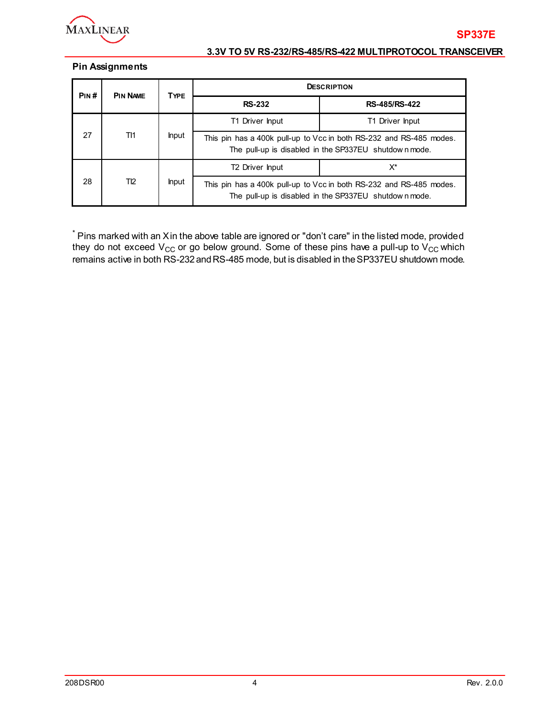

### **Pin Assignments**

| PIN#      | <b>PIN NAME</b> | <b>TYPE</b>                                                                                                                  | <b>DESCRIPTION</b>          |                                                                                                                              |  |  |  |
|-----------|-----------------|------------------------------------------------------------------------------------------------------------------------------|-----------------------------|------------------------------------------------------------------------------------------------------------------------------|--|--|--|
|           |                 | <b>RS-232</b>                                                                                                                | <b>RS-485/RS-422</b>        |                                                                                                                              |  |  |  |
|           |                 |                                                                                                                              | T1 Driver Input             | T1 Driver Input                                                                                                              |  |  |  |
| 27<br>TI1 | <b>Input</b>    | This pin has a 400k pull-up to Vcc in both RS-232 and RS-485 modes.<br>The pull-up is disabled in the SP337EU shutdown mode. |                             |                                                                                                                              |  |  |  |
|           |                 |                                                                                                                              | T <sub>2</sub> Driver Input | X*                                                                                                                           |  |  |  |
| 28        | T12             | <b>Input</b>                                                                                                                 |                             | This pin has a 400k pull-up to Vcc in both RS-232 and RS-485 modes.<br>The pull-up is disabled in the SP337EU shutdown mode. |  |  |  |

 $*$  Pins marked with an Xin the above table are ignored or "don't care" in the listed mode, provided they do not exceed  $\rm V_{CC}$  or go below ground. Some of these pins have a pull-up to  $\rm V_{CC}$  which remains active in both RS-232andRS-485 mode, but is disabled in theSP337EU shutdown mode.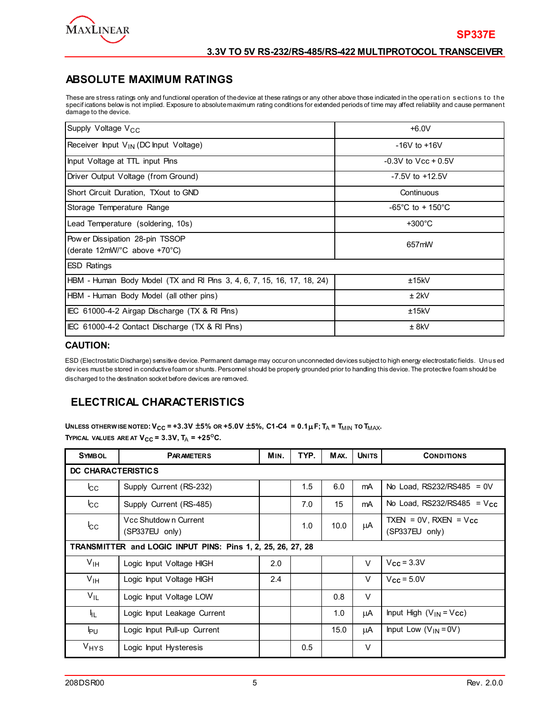

### **ABSOLUTE MAXIMUM RATINGS**

These are stress ratings only and functional operation of the device at these ratings or any other above those indicated in the operation sections to the specif ications below is not implied. Exposure to absolute maximum rating conditions for extended periods of time may affect reliability and cause permanent damage to the device.

| Supply Voltage V <sub>CC</sub>                                         | $+6.0V$                               |  |  |
|------------------------------------------------------------------------|---------------------------------------|--|--|
| Receiver Input $V_{IN}$ (DC Input Voltage)                             | $-16V$ to $+16V$                      |  |  |
| Input Voltage at TTL input Pins                                        | $-0.3V$ to $Vcc + 0.5V$               |  |  |
| Driver Output Voltage (from Ground)                                    | $-7.5V$ to $+12.5V$                   |  |  |
| Short Circuit Duration, TXout to GND                                   | Continuous                            |  |  |
| Storage Temperature Range                                              | $-65^{\circ}$ C to + 150 $^{\circ}$ C |  |  |
| Lead Temperature (soldering, 10s)                                      | $+300^{\circ}$ C                      |  |  |
| Pow er Dissipation 28-pin TSSOP<br>(derate 12mW/°C above +70°C)        | 657mW                                 |  |  |
| <b>ESD Ratings</b>                                                     |                                       |  |  |
| HBM - Human Body Model (TX and RI Pins 3, 4, 6, 7, 15, 16, 17, 18, 24) | ±15kV                                 |  |  |
| HBM - Human Body Model (all other pins)                                | $±$ 2kV                               |  |  |
| IEC 61000-4-2 Airgap Discharge (TX & RI Pins)                          | ±15kV                                 |  |  |
| IEC 61000-4-2 Contact Discharge (TX & RI Pins)                         | ± 8kV                                 |  |  |

#### **CAUTION:**

ESD (Electrostatic Discharge) sensitive device. Permanent damage may occur on unconnected devices subject to high energy electrostatic fields. Unus ed dev ices must be stored in conductive foam or shunts. Personnel should be properly grounded prior to handling this device. The protective foam should be discharged to the destination socket before devices are removed.

# **ELECTRICAL CHARACTERISTICS**

**UNLESS OTHERW ISE NOTED:**  $V_{CC}$  **= +3.3V**  $\pm$ **5% OR +5.0V**  $\pm$ **5%, C1-C4 = 0.1** $\mu$ **F; T<sub>A</sub> = T<sub>MIN</sub> TO T<sub>MAX</sub>.** 

**TYPICAL VALUES ARE AT**  $V_{CC}$  **= 3.3V,**  $T_A$  **= +25<sup>o</sup>C.** 

| <b>SYMBOL</b>            | <b>PARAMETERS</b>                                           | MIN. | TYP. | MAX. | <b>UNITS</b> | <b>CONDITIONS</b>                               |  |  |  |
|--------------------------|-------------------------------------------------------------|------|------|------|--------------|-------------------------------------------------|--|--|--|
| DC CHARACTERISTICS       |                                                             |      |      |      |              |                                                 |  |  |  |
| $\mathsf{lc}_\mathsf{C}$ | Supply Current (RS-232)                                     |      | 1.5  | 6.0  | mA           | No Load, $RS232/RS485 = 0V$                     |  |  |  |
| $_{\rm{cc}}$             | Supply Current (RS-485)                                     |      | 7.0  | 15   | mA           | No Load, $RS232/RS485 = V_{CC}$                 |  |  |  |
| $_{\rm{cc}}$             | Vcc Shutdown Current<br>(SP337EU only)                      |      | 1.0  | 10.0 | μA           | TXEN = $0V$ , RXEN = $V_{cc}$<br>(SP337EU only) |  |  |  |
|                          | TRANSMITTER and LOGIC INPUT PINS: Pins 1, 2, 25, 26, 27, 28 |      |      |      |              |                                                 |  |  |  |
| $V_{\text{IH}}$          | Logic Input Voltage HIGH                                    | 2.0  |      |      | $\vee$       | $Vcc = 3.3V$                                    |  |  |  |
| $V_{\text{IH}}$          | Logic Input Voltage HIGH                                    | 2.4  |      |      | $\vee$       | $Vcc = 5.0V$                                    |  |  |  |
| $V_{IL}$                 | Logic Input Voltage LOW                                     |      |      | 0.8  | $\vee$       |                                                 |  |  |  |
| ŀμ.                      | Logic Input Leakage Current                                 |      |      | 1.0  | μA           | Input High $(V_{IN} = V_{CC})$                  |  |  |  |
| l <sub>ΡU</sub>          | Logic Input Pull-up Current                                 |      |      | 15.0 | μA           | Input Low $(V_{IN} = 0V)$                       |  |  |  |
| $V_{HYS}$                | Logic Input Hysteresis                                      |      | 0.5  |      | V            |                                                 |  |  |  |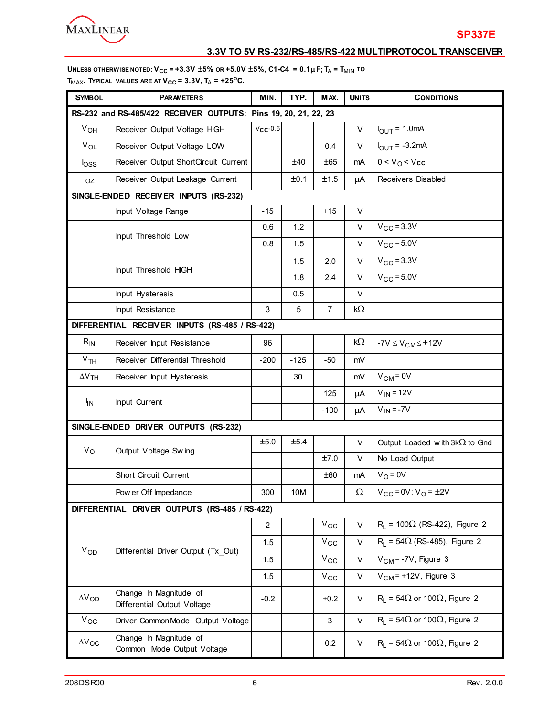

**UNLESS OTHERW ISE NOTED:**  $V_{CC}$  = +3.3V  $\pm$ 5% OR +5.0V  $\pm$ 5%, C1-C4 = 0.1 $\mu$ F; T<sub>A</sub> = T<sub>MIN</sub> to  $T_{MAX}$ . TYPICAL VALUES ARE AT  $V_{CC} = 3.3V$ ,  $T_A = +25^{\circ}C$ .

| <b>SYMBOL</b>   | <b>PARAMETERS</b>                                               | MIN.          | TYP.   | MAX.           | <b>UNITS</b> | <b>CONDITIONS</b>                              |
|-----------------|-----------------------------------------------------------------|---------------|--------|----------------|--------------|------------------------------------------------|
|                 | RS-232 and RS-485/422 RECEIVER OUTPUTS: Pins 19, 20, 21, 22, 23 |               |        |                |              |                                                |
| $V_{OH}$        | Receiver Output Voltage HIGH                                    | $V_{CC}$ -0.6 |        |                | V            | $I_{\text{OUT}} = 1.0 \text{mA}$               |
| $V_{OL}$        | Receiver Output Voltage LOW                                     |               |        | 0.4            | V            | $I_{\text{OUT}} = -3.2 \text{mA}$              |
| $\mathsf{loss}$ | Receiver Output ShortCircuit Current                            |               | ±40    | ±65            | mA           | 0 < V <sub>O</sub> < V <sub>cc</sub>           |
| $I_{OZ}$        | Receiver Output Leakage Current                                 |               | ±0.1   | ±1.5           | μA           | Receivers Disabled                             |
|                 | SINGLE-ENDED RECEIVER INPUTS (RS-232)                           |               |        |                |              |                                                |
|                 | Input Voltage Range                                             | $-15$         |        | $+15$          | V            |                                                |
|                 | Input Threshold Low                                             | 0.6           | 1.2    |                | V            | $V_{\text{CC}} = 3.3V$                         |
|                 |                                                                 | 0.8           | 1.5    |                | V            | $V_{CC}$ = 5.0V                                |
|                 |                                                                 |               | 1.5    | 2.0            | V            | $V_{\rm CC} = 3.3V$                            |
|                 | Input Threshold HIGH                                            |               | 1.8    | 2.4            | V            | $V_{CC}$ = 5.0V                                |
|                 | Input Hysteresis                                                |               | 0.5    |                | V            |                                                |
|                 | Input Resistance                                                | 3             | 5      | $\overline{7}$ | kΩ           |                                                |
|                 | DIFFERENTIAL RECEIVER INPUTS (RS-485 / RS-422)                  |               |        |                |              |                                                |
| $R_{IN}$        | Receiver Input Resistance                                       | 96            |        |                | kΩ           | $-7V \le V_{CM} \le +12V$                      |
| V <sub>TH</sub> | Receiver Differential Threshold                                 | $-200$        | $-125$ | $-50$          | mV           |                                                |
| $\Delta V$ TH   | Receiver Input Hysteresis                                       |               | 30     |                | mV           | $V_{CM} = 0V$                                  |
|                 |                                                                 |               |        | 125            | μA           | $V_{IN}$ = 12V                                 |
| <sup>I</sup> IN | Input Current                                                   |               |        | $-100$         | μA           | $V_{IN} = -7V$                                 |
|                 | SINGLE-ENDED DRIVER OUTPUTS (RS-232)                            |               |        |                |              |                                                |
| $V_{\rm O}$     | Output Voltage Swing                                            | ±5.0          | ±5.4   |                | V            | Output Loaded with $3k\Omega$ to Gnd           |
|                 |                                                                 |               |        | ±7.0           | V            | No Load Output                                 |
|                 | Short Circuit Current                                           |               |        | ±60            | mA           | $V_O = 0V$                                     |
|                 | Pow er Off Impedance                                            | 300           | 10M    |                | $\Omega$     | $V_{CC} = 0V; V_{O} = \pm 2V$                  |
|                 | DIFFERENTIAL DRIVER OUTPUTS (RS-485 / RS-422)                   |               |        |                |              |                                                |
|                 |                                                                 | 2             |        | $V_{\rm CC}$   | V            | $R_1$ = 100 $\Omega$ (RS-422), Figure 2        |
|                 |                                                                 | 1.5           |        | $V_{\rm CC}$   | V            | $R_1$ = 54 $\Omega$ (RS-485), Figure 2         |
| $V_{OD}$        | Differential Driver Output (Tx_Out)                             | 1.5           |        | $\rm v_{cc}$   | V            | $VCM = -7V$ , Figure 3                         |
|                 |                                                                 | 1.5           |        | $V_{\rm CC}$   | V            | $VCM$ = +12V, Figure 3                         |
| $\Delta V_{OD}$ | Change In Magnitude of<br>Differential Output Voltage           | $-0.2$        |        | $+0.2$         | V            | $R_1 = 54\Omega$ or 100 $\Omega$ , Figure 2    |
| $V_{OC}$        | Driver CommonMode Output Voltage                                |               |        | 3              | V            | $R_1 = 54\Omega$ or 100 $\Omega$ , Figure 2    |
| $\Delta V_{OC}$ | Change In Magnitude of<br>Common Mode Output Voltage            |               |        | 0.2            | V            | $R_L$ = 54 $\Omega$ or 100 $\Omega$ , Figure 2 |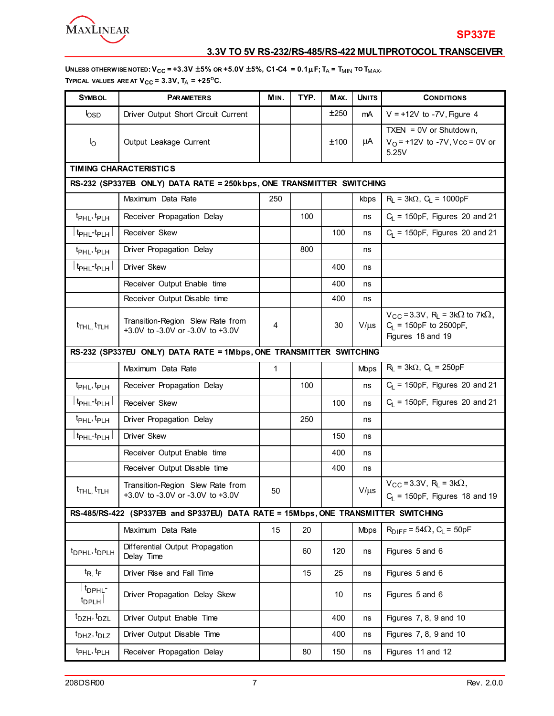

UNLESS OTHERW ISE NOTED:  $V_{CC}$  = +3.3V  $\pm$ 5% OR +5.0V  $\pm$ 5%, C1-C4 = 0.1 $\mu$ F; T<sub>A</sub> = T<sub>MIN</sub> TO T<sub>MAX</sub>. **TYPICAL VALUES ARE AT**  $V_{CC} = 3.3V$ **,**  $T_A = +25^{\circ}C$ **.** 

| <b>SYMBOL</b>                                    | <b>PARAMETERS</b>                                                                 | MIN. | TYP. | MAX. | <b>UNITS</b> | <b>CONDITIONS</b>                                                                                               |  |  |
|--------------------------------------------------|-----------------------------------------------------------------------------------|------|------|------|--------------|-----------------------------------------------------------------------------------------------------------------|--|--|
| logp                                             | Driver Output Short Circuit Current                                               |      |      | ±250 | mA           | $V = +12V$ to -7V, Figure 4                                                                                     |  |  |
| $\mathsf{I}_{\mathsf{O}}$                        | Output Leakage Current                                                            |      |      | ±100 | μA           | TXEN = $0V$ or Shutdow n,<br>$V_O$ = +12V to -7V, Vcc = 0V or<br>5.25V                                          |  |  |
|                                                  | <b>TIMING CHARACTERISTICS</b>                                                     |      |      |      |              |                                                                                                                 |  |  |
|                                                  | RS-232 (SP337EB ONLY) DATA RATE = 250kbps, ONE TRANSMITTER SWITCHING              |      |      |      |              |                                                                                                                 |  |  |
|                                                  | Maximum Data Rate                                                                 | 250  |      |      | kbps         | $R_L = 3k\Omega$ , $C_L = 1000pF$                                                                               |  |  |
| t <sub>PHL</sub> , t <sub>PLH</sub>              | Receiver Propagation Delay                                                        |      | 100  |      | ns           | $C_L$ = 150pF, Figures 20 and 21                                                                                |  |  |
| ∣ t <sub>PHL</sub> -t <sub>PLH</sub> ∣           | Receiver Skew                                                                     |      |      | 100  | ns           | $C_1$ = 150pF, Figures 20 and 21                                                                                |  |  |
| t <sub>PHL</sub> , t <sub>PLH</sub>              | Driver Propagation Delay                                                          |      | 800  |      | ns           |                                                                                                                 |  |  |
| $\mid$ t <sub>PHL</sub> -t <sub>PLH</sub> $\mid$ | <b>Driver Skew</b>                                                                |      |      | 400  | ns           |                                                                                                                 |  |  |
|                                                  | Receiver Output Enable time                                                       |      |      | 400  | ns           |                                                                                                                 |  |  |
|                                                  | Receiver Output Disable time                                                      |      |      | 400  | ns           |                                                                                                                 |  |  |
| $t$ <sub>THL,</sub> $t$ <sub>TLH</sub>           | Transition-Region Slew Rate from<br>+3.0V to -3.0V or -3.0V to +3.0V              | 4    |      | 30   | $V/\mu s$    | $V_{CC}$ = 3.3V, R <sub>L</sub> = 3k $\Omega$ to 7k $\Omega$ ,<br>$C_L$ = 150pF to 2500pF,<br>Figures 18 and 19 |  |  |
|                                                  | RS-232 (SP337EU ONLY) DATA RATE = 1Mbps, ONE TRANSMITTER SWITCHING                |      |      |      |              |                                                                                                                 |  |  |
|                                                  | Maximum Data Rate                                                                 | 1    |      |      | <b>Mbps</b>  | $R_L = 3k\Omega$ , $C_L = 250pF$                                                                                |  |  |
| t <sub>PHL</sub> , t <sub>PLH</sub>              | Receiver Propagation Delay                                                        |      | 100  |      | ns           | $C_1$ = 150pF, Figures 20 and 21                                                                                |  |  |
| ∣ t <sub>РНL</sub> -t <sub>РLН</sub> ∣           | Receiver Skew                                                                     |      |      | 100  | ns           | $C_1$ = 150pF, Figures 20 and 21                                                                                |  |  |
| t <sub>PHL</sub> , t <sub>PLH</sub>              | Driver Propagation Delay                                                          |      | 250  |      | ns           |                                                                                                                 |  |  |
|                                                  | <b>Driver Skew</b>                                                                |      |      | 150  | ns           |                                                                                                                 |  |  |
|                                                  | Receiver Output Enable time                                                       |      |      | 400  | ns           |                                                                                                                 |  |  |
|                                                  | Receiver Output Disable time                                                      |      |      | 400  | ns           |                                                                                                                 |  |  |
| t <sub>THL,</sub> t <sub>TLH</sub>               | Transition-Region Slew Rate from<br>+3.0V to -3.0V or -3.0V to +3.0V              | 50   |      |      | $V/\mu s$    | $V_{CC} = 3.3V$ , R <sub>L</sub> = 3k $\Omega$ ,<br>$C_1$ = 150pF, Figures 18 and 19                            |  |  |
|                                                  | RS-485/RS-422 (SP337EB and SP337EU) DATA RATE = 15Mbps, ONE TRANSMITTER SWITCHING |      |      |      |              |                                                                                                                 |  |  |
|                                                  | Maximum Data Rate                                                                 | 15   | 20   |      | <b>Mbps</b>  | $R_{\text{DIFF}}$ = 54 $\Omega$ , C <sub>L</sub> = 50pF                                                         |  |  |
| t <sub>DPHL</sub> , t <sub>DPLH</sub>            | Differential Output Propagation<br>Delay Time                                     |      | 60   | 120  | ns           | Figures 5 and 6                                                                                                 |  |  |
| $t_{R_1}t_{F_2}$                                 | Driver Rise and Fall Time                                                         |      | 15   | 25   | ns           | Figures 5 and 6                                                                                                 |  |  |
| t <sub>DPHL</sub> -<br>$t_{\text{DPLH}}$         | Driver Propagation Delay Skew                                                     |      |      | 10   | ns           | Figures 5 and 6                                                                                                 |  |  |
| t <sub>DZH</sub> , t <sub>DZL</sub>              | Driver Output Enable Time                                                         |      |      | 400  | ns           | Figures 7, 8, 9 and 10                                                                                          |  |  |
| $t_{DHZ}$ , $t_{DLZ}$                            | Driver Output Disable Time                                                        |      |      | 400  | ns           | Figures 7, 8, 9 and 10                                                                                          |  |  |
| t <sub>PHL</sub> , t <sub>PLH</sub>              | Receiver Propagation Delay                                                        |      | 80   | 150  | ns           | Figures 11 and 12                                                                                               |  |  |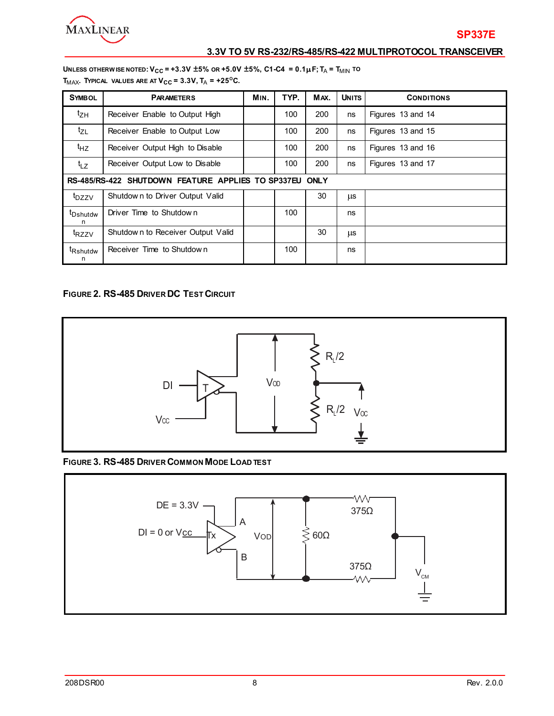

**UNLESS OTHERW ISE NOTED:**  $V_{CC}$  = +3.3V  $\pm$ 5% OR +5.0V  $\pm$ 5%, C1-C4 = 0.1 $\mu$ F; T<sub>A</sub> = T<sub>MIN</sub> to  $T_{MAX}$ . TYPICAL VALUES ARE AT  $V_{CC} = 3.3V$ ,  $T_A = +25^{\circ}C$ .

| <b>SYMBOL</b>              | <b>PARAMETERS</b>                                      | MIN. | TYP. | MAX. | <b>UNITS</b> | <b>CONDITIONS</b> |  |  |
|----------------------------|--------------------------------------------------------|------|------|------|--------------|-------------------|--|--|
| $t_{ZH}$                   | Receiver Enable to Output High                         |      | 100  | 200  | ns           | Figures 13 and 14 |  |  |
| $t_{ZL}$                   | Receiver Enable to Output Low                          |      | 100  | 200  | ns           | Figures 13 and 15 |  |  |
| $t_{HZ}$                   | Receiver Output High to Disable                        |      | 100  | 200  | ns           | Figures 13 and 16 |  |  |
| $t_{LZ}$                   | Receiver Output Low to Disable                         |      | 100  | 200  | ns           | Figures 13 and 17 |  |  |
|                            | RS-485/RS-422 SHUTDOWN FEATURE APPLIES TO SP337EU ONLY |      |      |      |              |                   |  |  |
| t <sub>DZZV</sub>          | Shutdown to Driver Output Valid                        |      |      | 30   | <b>LLS</b>   |                   |  |  |
| <sup>t</sup> Dshutdw<br>n  | Driver Time to Shutdown                                |      | 100  |      | ns           |                   |  |  |
| t <sub>RZZV</sub>          | Shutdown to Receiver Output Valid                      |      |      | 30   | μs           |                   |  |  |
| <sup>t</sup> Rshutdw<br>n. | Receiver Time to Shutdown                              |      | 100  |      | ns           |                   |  |  |

### **FIGURE 2. RS-485 DRIVER DC TEST CIRCUIT**



**FIGURE 3. RS-485 DRIVER COMMON MODE LOAD TEST**

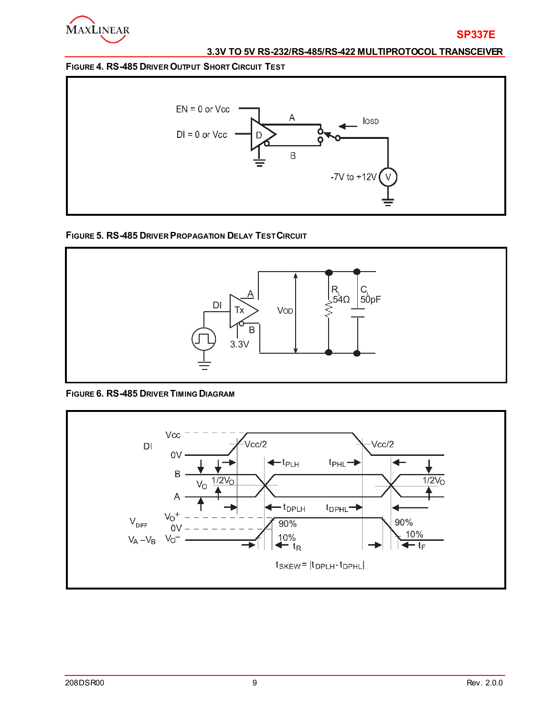

### **FIGURE 4. RS-485 DRIVER OUTPUT SHORT CIRCUIT TEST**



### **FIGURE 5. RS-485 DRIVER PROPAGATION DELAY TEST CIRCUIT**



#### **FIGURE 6. RS-485 DRIVER TIMING DIAGRAM**

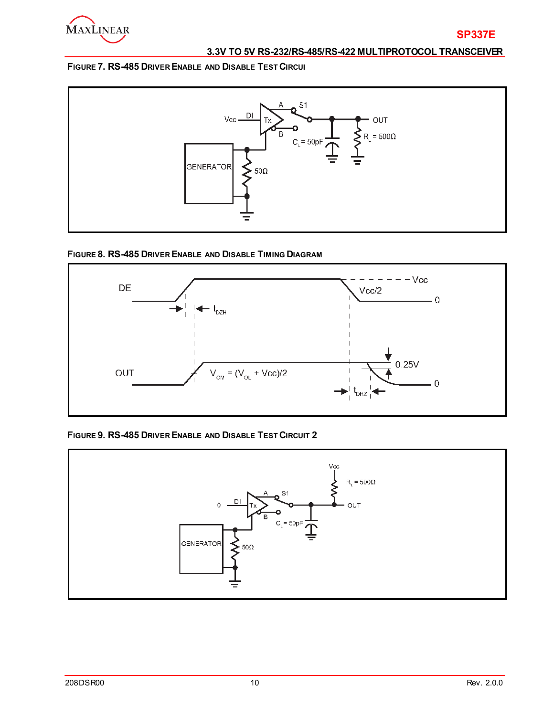

### **FIGURE 7. RS-485 DRIVER ENABLE AND DISABLE TEST CIRCUI**



### **FIGURE 8. RS-485 DRIVER ENABLE AND DISABLE TIMING DIAGRAM**



### **FIGURE 9. RS-485 DRIVER ENABLE AND DISABLE TEST CIRCUIT 2**

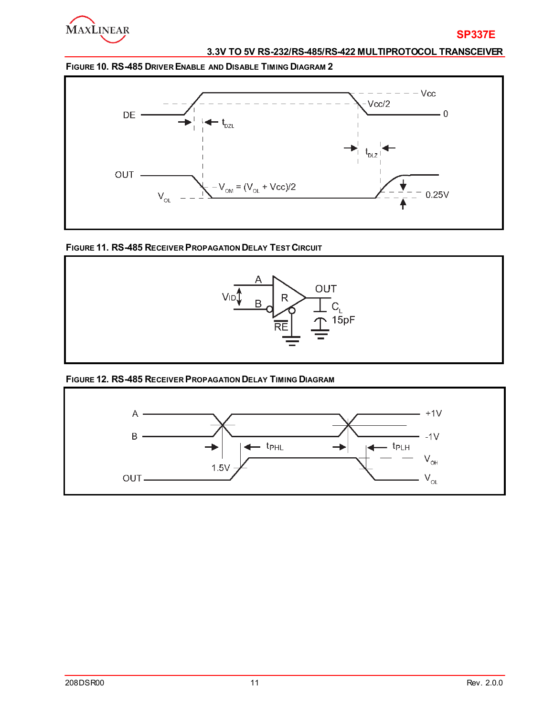

**FIGURE 10. RS-485 DRIVER ENABLE AND DISABLE TIMING DIAGRAM 2**



### **FIGURE 11. RS-485 RECEIVER PROPAGATION DELAY TEST CIRCUIT**



### **FIGURE 12. RS-485 RECEIVER PROPAGATION DELAY TIMING DIAGRAM**

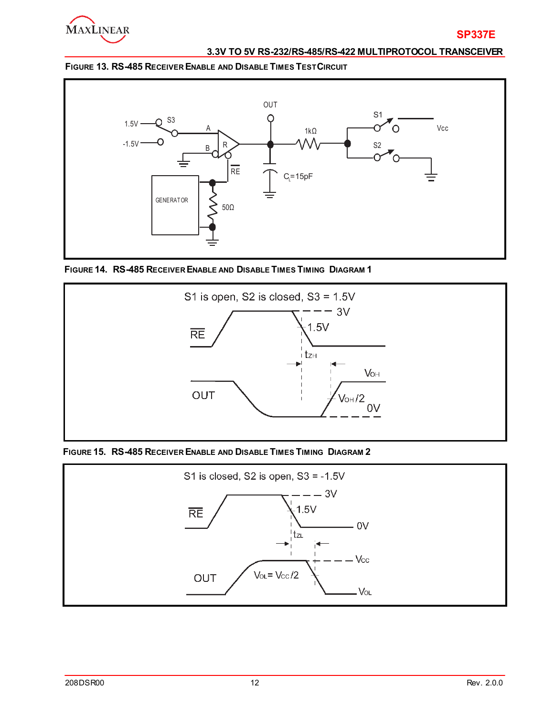

**FIGURE 13. RS-485 RECEIVER ENABLE AND DISABLE TIMES TEST CIRCUIT**



 **FIGURE 14. RS-485 RECEIVER ENABLE AND DISABLE TIMES TIMING DIAGRAM 1**



**FIGURE 15. RS-485 RECEIVER ENABLE AND DISABLE TIMES TIMING DIAGRAM 2**

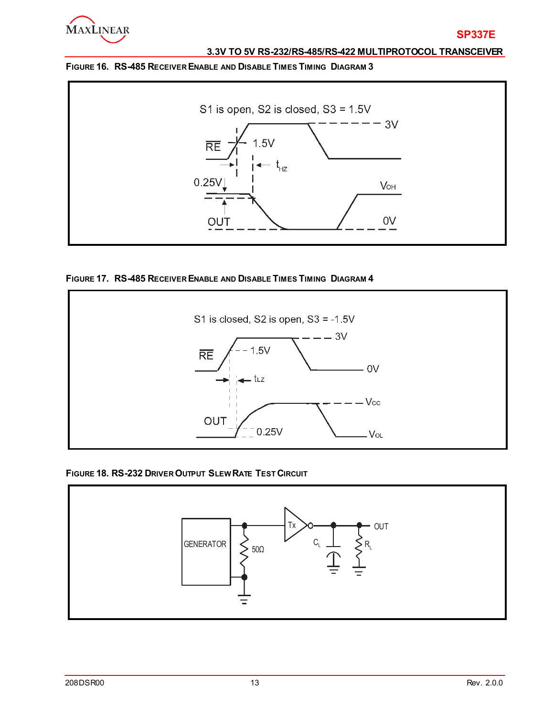

### **FIGURE 16. RS-485 RECEIVER ENABLE AND DISABLE TIMES TIMING DIAGRAM 3**



### **FIGURE 17. RS-485 RECEIVER ENABLE AND DISABLE TIMES TIMING DIAGRAM 4**



#### **FIGURE 18. RS-232 DRIVER OUTPUT SLEW RATE TEST CIRCUIT**

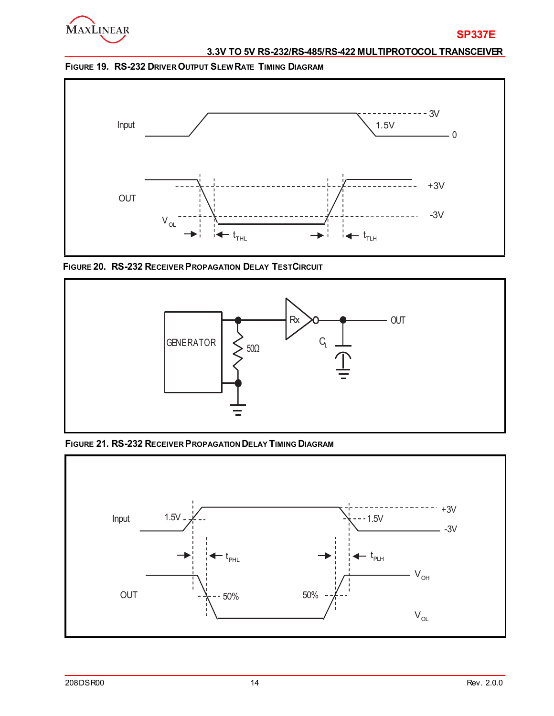

**FIGURE 19. RS-232 DRIVER OUTPUT SLEW RATE TIMING DIAGRAM**



**FIGURE 20. RS-232 RECEIVER PROPAGATION DELAY TESTCIRCUIT**



**FIGURE 21. RS-232 RECEIVER PROPAGATION DELAY TIMING DIAGRAM**

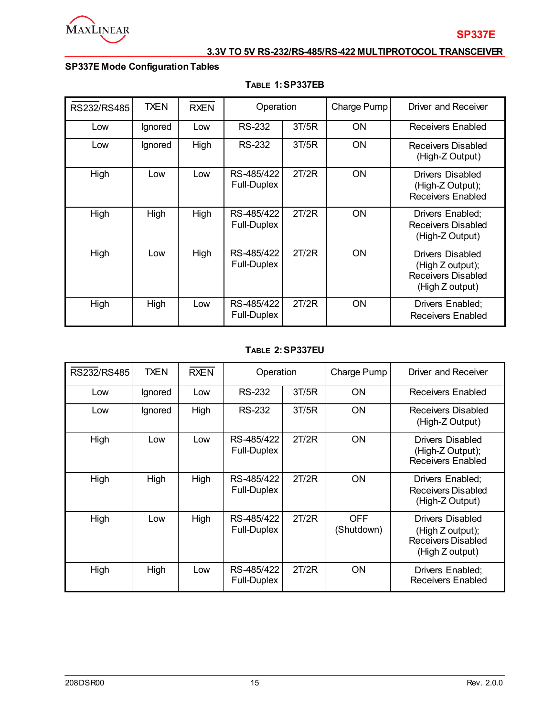

# **SP337E Mode Configuration Tables**

| RS232/RS485 | <b>TXEN</b> | <b>RXEN</b> | Operation                        |       | Charge Pump | Driver and Receiver                                                                  |
|-------------|-------------|-------------|----------------------------------|-------|-------------|--------------------------------------------------------------------------------------|
| Low         | Ignored     | Low         | <b>RS-232</b>                    | 3T/5R | <b>ON</b>   | Receivers Enabled                                                                    |
| Low         | Ignored     | High        | RS-232                           | 3T/5R | 0N          | Receivers Disabled<br>(High-Z Output)                                                |
| High        | Low         | Low         | RS-485/422<br><b>Full-Duplex</b> | 2T/2R | ON          | Drivers Disabled<br>(High-Z Output);<br><b>Receivers Enabled</b>                     |
| High        | High        | High        | RS-485/422<br>Full-Duplex        | 2T/2R | <b>ON</b>   | Drivers Enabled;<br><b>Receivers Disabled</b><br>(High-Z Output)                     |
| High        | Low         | High        | RS-485/422<br><b>Full-Duplex</b> | 2T/2R | <b>ON</b>   | Drivers Disabled<br>(High Z output);<br><b>Receivers Disabled</b><br>(High Z output) |
| High        | High        | Low         | RS-485/422<br><b>Full-Duplex</b> | 2T/2R | ON          | Drivers Enabled;<br><b>Receivers Enabled</b>                                         |

### **TABLE 1:SP337EB**

### **TABLE 2:SP337EU**

| RS232/RS485 | <b>TXEN</b> | <b>RXEN</b> | Operation                        |       | Charge Pump              | Driver and Receiver                                                                  |
|-------------|-------------|-------------|----------------------------------|-------|--------------------------|--------------------------------------------------------------------------------------|
| Low         | Ignored     | Low         | RS-232                           | 3T/5R | <b>ON</b>                | <b>Receivers Enabled</b>                                                             |
| Low         | Ignored     | High        | RS-232                           | 3T/5R | <b>ON</b>                | Receivers Disabled<br>(High-Z Output)                                                |
| High        | Low         | Low         | RS-485/422<br><b>Full-Duplex</b> | 2T/2R | <b>ON</b>                | Drivers Disabled<br>(High-Z Output);<br><b>Receivers Enabled</b>                     |
| High        | High        | High        | RS-485/422<br><b>Full-Duplex</b> | 2T/2R | <b>ON</b>                | Drivers Enabled;<br>Receivers Disabled<br>(High-Z Output)                            |
| High        | Low         | High        | RS-485/422<br><b>Full-Duplex</b> | 2T/2R | <b>OFF</b><br>(Shutdown) | <b>Drivers Disabled</b><br>(High Z output);<br>Receivers Disabled<br>(High Z output) |
| High        | High        | Low         | RS-485/422<br>Full-Duplex        | 2T/2R | <b>ON</b>                | Drivers Enabled;<br><b>Receivers Enabled</b>                                         |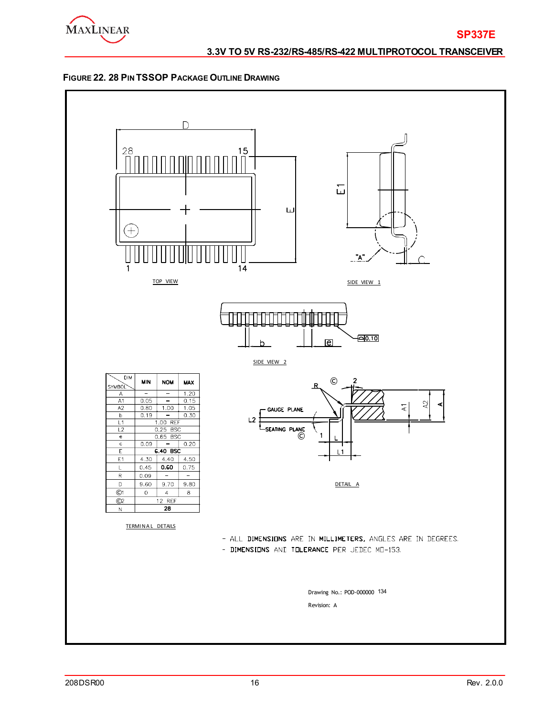



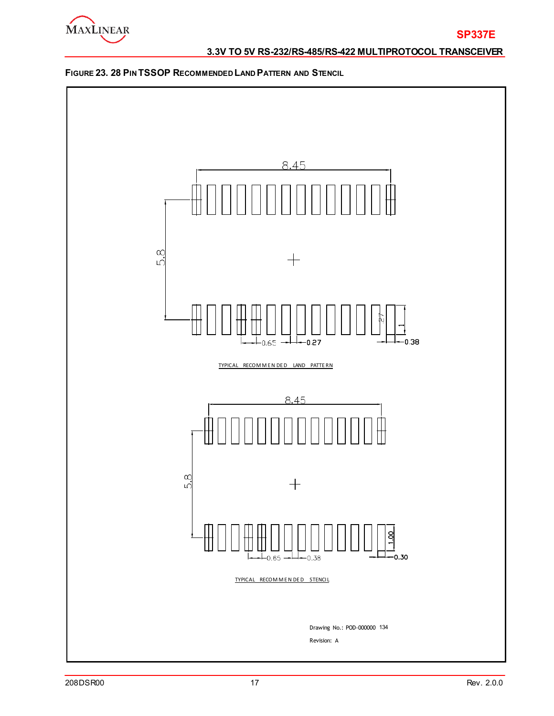